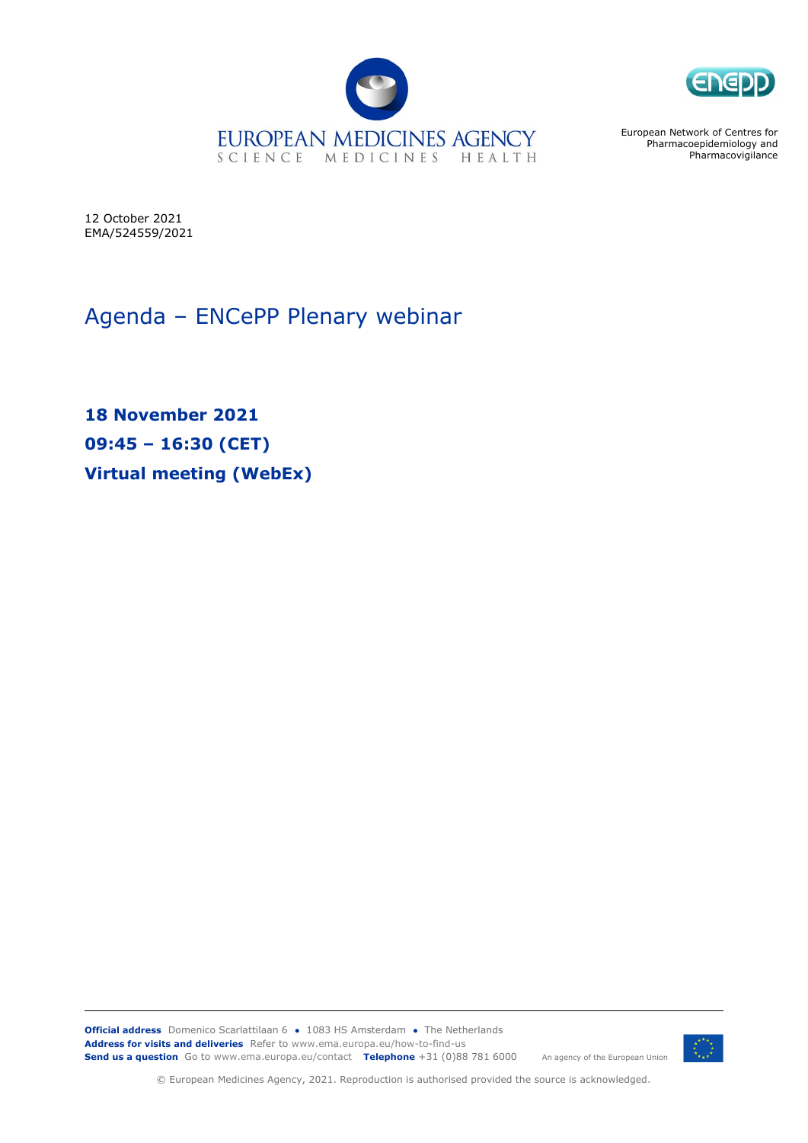



European Network of Centres for Pharmacoepidemiology and **Pharmacovigilance** 

12 October 2021 EMA/524559/2021

Agenda – ENCePP Plenary webinar

**18 November 2021 09:45 – 16:30 (CET) Virtual meeting (WebEx)**

**Official address** Domenico Scarlattilaan 6 **●** 1083 HS Amsterdam **●** The Netherlands An agency of the European Union **Address for visits and deliveries** Refer to www.ema.europa.eu/how-to-find-us **Send us a question** Go to www.ema.europa.eu/contact **Telephone** +31 (0)88 781 6000



© European Medicines Agency, 2021. Reproduction is authorised provided the source is acknowledged.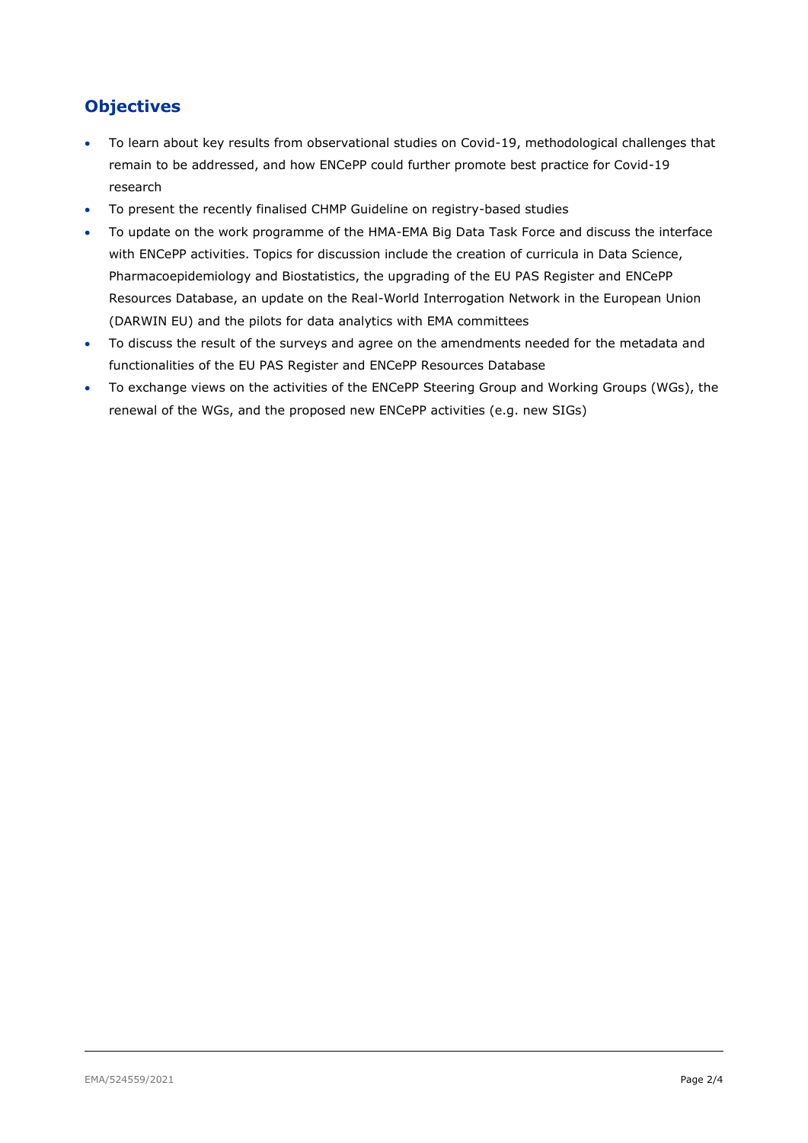## **Objectives**

- To learn about key results from observational studies on Covid-19, methodological challenges that remain to be addressed, and how ENCePP could further promote best practice for Covid-19 research
- To present the recently finalised CHMP Guideline on registry-based studies
- To update on the work programme of the HMA-EMA Big Data Task Force and discuss the interface with ENCePP activities. Topics for discussion include the creation of curricula in Data Science, Pharmacoepidemiology and Biostatistics, the upgrading of the EU PAS Register and ENCePP Resources Database, an update on the Real-World Interrogation Network in the European Union (DARWIN EU) and the pilots for data analytics with EMA committees
- To discuss the result of the surveys and agree on the amendments needed for the metadata and functionalities of the EU PAS Register and ENCePP Resources Database
- To exchange views on the activities of the ENCePP Steering Group and Working Groups (WGs), the renewal of the WGs, and the proposed new ENCePP activities (e.g. new SIGs)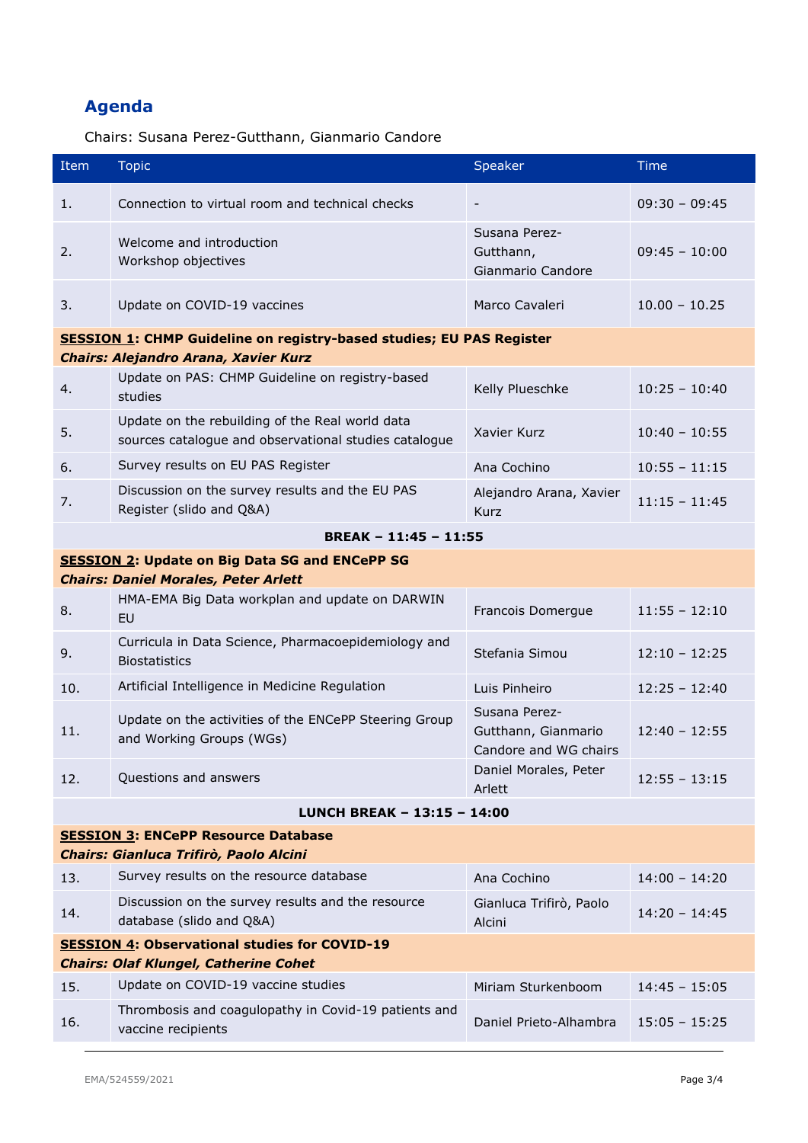## **Agenda**

Chairs: Susana Perez-Gutthann, Gianmario Candore

| Item                                                                        | <b>Topic</b>                                                                                             | Speaker                                                       | <b>Time</b>     |  |  |
|-----------------------------------------------------------------------------|----------------------------------------------------------------------------------------------------------|---------------------------------------------------------------|-----------------|--|--|
| 1.                                                                          | Connection to virtual room and technical checks                                                          |                                                               | $09:30 - 09:45$ |  |  |
| 2.                                                                          | Welcome and introduction<br>Workshop objectives                                                          | Susana Perez-<br>Gutthann,<br>Gianmario Candore               | $09:45 - 10:00$ |  |  |
| 3.                                                                          | Update on COVID-19 vaccines                                                                              | Marco Cavaleri                                                | $10.00 - 10.25$ |  |  |
| <b>SESSION 1: CHMP Guideline on registry-based studies; EU PAS Register</b> |                                                                                                          |                                                               |                 |  |  |
|                                                                             | Chairs: Alejandro Arana, Xavier Kurz                                                                     |                                                               |                 |  |  |
| 4.                                                                          | Update on PAS: CHMP Guideline on registry-based<br>studies                                               | Kelly Plueschke                                               | $10:25 - 10:40$ |  |  |
| 5.                                                                          | Update on the rebuilding of the Real world data<br>sources catalogue and observational studies catalogue | Xavier Kurz                                                   | $10:40 - 10:55$ |  |  |
| 6.                                                                          | Survey results on EU PAS Register                                                                        | Ana Cochino                                                   | $10:55 - 11:15$ |  |  |
| 7.                                                                          | Discussion on the survey results and the EU PAS<br>Register (slido and Q&A)                              | Alejandro Arana, Xavier<br><b>Kurz</b>                        | $11:15 - 11:45$ |  |  |
|                                                                             | BREAK - 11:45 - 11:55                                                                                    |                                                               |                 |  |  |
|                                                                             | <b>SESSION 2: Update on Big Data SG and ENCePP SG</b>                                                    |                                                               |                 |  |  |
|                                                                             | <b>Chairs: Daniel Morales, Peter Arlett</b>                                                              |                                                               |                 |  |  |
| 8.                                                                          | HMA-EMA Big Data workplan and update on DARWIN<br>EU                                                     | Francois Domergue                                             | $11:55 - 12:10$ |  |  |
| 9.                                                                          | Curricula in Data Science, Pharmacoepidemiology and<br><b>Biostatistics</b>                              | Stefania Simou                                                | $12:10 - 12:25$ |  |  |
| 10.                                                                         | Artificial Intelligence in Medicine Regulation                                                           | Luis Pinheiro                                                 | $12:25 - 12:40$ |  |  |
| 11.                                                                         | Update on the activities of the ENCePP Steering Group<br>and Working Groups (WGs)                        | Susana Perez-<br>Gutthann, Gianmario<br>Candore and WG chairs | $12:40 - 12:55$ |  |  |
| 12.                                                                         | Questions and answers                                                                                    | Daniel Morales, Peter<br>Arlett                               | $12:55 - 13:15$ |  |  |
|                                                                             | LUNCH BREAK - 13:15 - 14:00                                                                              |                                                               |                 |  |  |
| <b>SESSION 3: ENCePP Resource Database</b>                                  |                                                                                                          |                                                               |                 |  |  |
|                                                                             | Chairs: Gianluca Trifirò, Paolo Alcini                                                                   |                                                               |                 |  |  |
| 13.                                                                         | Survey results on the resource database                                                                  | Ana Cochino                                                   | $14:00 - 14:20$ |  |  |
| 14.                                                                         | Discussion on the survey results and the resource<br>database (slido and Q&A)                            | Gianluca Trifirò, Paolo<br>Alcini                             | $14:20 - 14:45$ |  |  |
| <b>SESSION 4: Observational studies for COVID-19</b>                        |                                                                                                          |                                                               |                 |  |  |
|                                                                             | <b>Chairs: Olaf Klungel, Catherine Cohet</b>                                                             |                                                               |                 |  |  |
| 15.                                                                         | Update on COVID-19 vaccine studies                                                                       | Miriam Sturkenboom                                            | $14:45 - 15:05$ |  |  |
| 16.                                                                         | Thrombosis and coagulopathy in Covid-19 patients and<br>vaccine recipients                               | Daniel Prieto-Alhambra                                        | $15:05 - 15:25$ |  |  |
|                                                                             |                                                                                                          |                                                               |                 |  |  |